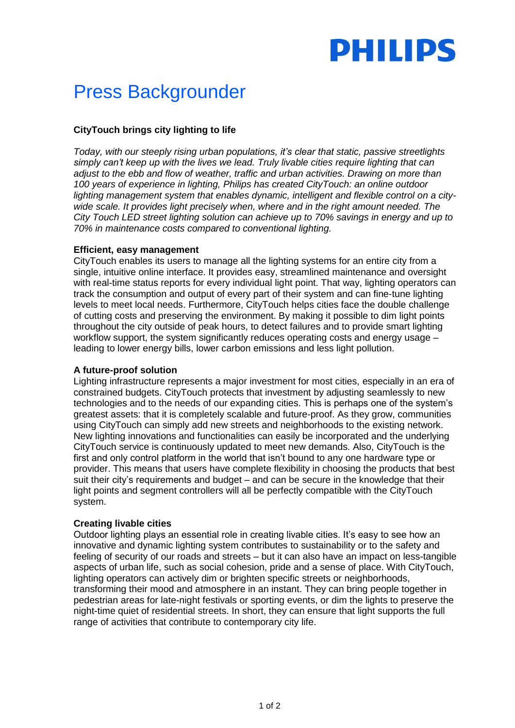

# Press Backgrounder

# **CityTouch brings city lighting to life**

*Today, with our steeply rising urban populations, it's clear that static, passive streetlights simply can't keep up with the lives we lead. Truly livable cities require lighting that can adjust to the ebb and flow of weather, traffic and urban activities. Drawing on more than 100 years of experience in lighting, Philips has created CityTouch: an online outdoor*  lighting management system that enables dynamic, intelligent and flexible control on a city*wide scale. It provides light precisely when, where and in the right amount needed. The City Touch LED street lighting solution can achieve up to 70% savings in energy and up to 70% in maintenance costs compared to conventional lighting.*

#### **Efficient, easy management**

CityTouch enables its users to manage all the lighting systems for an entire city from a single, intuitive online interface. It provides easy, streamlined maintenance and oversight with real-time status reports for every individual light point. That way, lighting operators can track the consumption and output of every part of their system and can fine-tune lighting levels to meet local needs. Furthermore, CityTouch helps cities face the double challenge of cutting costs and preserving the environment. By making it possible to dim light points throughout the city outside of peak hours, to detect failures and to provide smart lighting workflow support, the system significantly reduces operating costs and energy usage – leading to lower energy bills, lower carbon emissions and less light pollution.

## **A future-proof solution**

Lighting infrastructure represents a major investment for most cities, especially in an era of constrained budgets. CityTouch protects that investment by adjusting seamlessly to new technologies and to the needs of our expanding cities. This is perhaps one of the system's greatest assets: that it is completely scalable and future-proof. As they grow, communities using CityTouch can simply add new streets and neighborhoods to the existing network. New lighting innovations and functionalities can easily be incorporated and the underlying CityTouch service is continuously updated to meet new demands. Also, CityTouch is the first and only control platform in the world that isn't bound to any one hardware type or provider. This means that users have complete flexibility in choosing the products that best suit their city's requirements and budget – and can be secure in the knowledge that their light points and segment controllers will all be perfectly compatible with the CityTouch system.

## **Creating livable cities**

Outdoor lighting plays an essential role in creating livable cities. It's easy to see how an innovative and dynamic lighting system contributes to sustainability or to the safety and feeling of security of our roads and streets – but it can also have an impact on less-tangible aspects of urban life, such as social cohesion, pride and a sense of place. With CityTouch, lighting operators can actively dim or brighten specific streets or neighborhoods, transforming their mood and atmosphere in an instant. They can bring people together in pedestrian areas for late-night festivals or sporting events, or dim the lights to preserve the night-time quiet of residential streets. In short, they can ensure that light supports the full range of activities that contribute to contemporary city life.